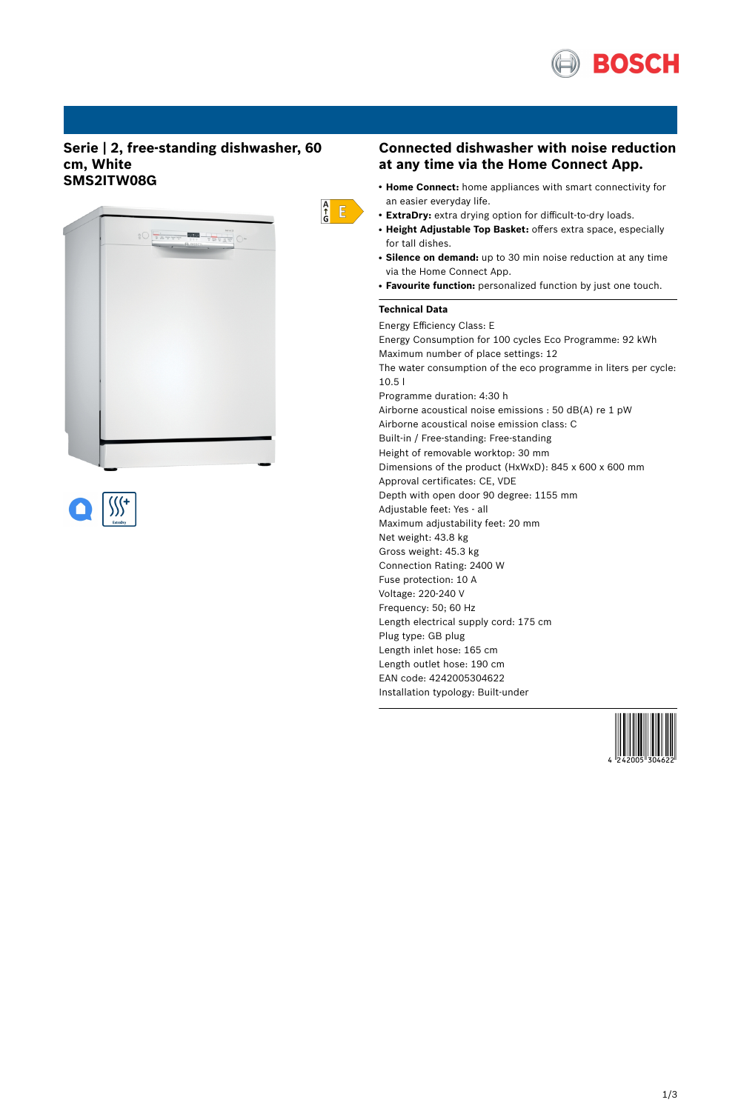

# **Serie | 2, free-standing dishwasher, 60 cm, White SMS2ITW08G**





# **Connected dishwasher with noise reduction at any time via the Home Connect App.**

- **Home Connect:** home appliances with smart connectivity for an easier everyday life.
- **ExtraDry:** extra drying option for difficult-to-dry loads.
- **Height Adjustable Top Basket:** offers extra space, especially for tall dishes.
- Silence on demand: up to 30 min noise reduction at any time via the Home Connect App.
- **Favourite function:** personalized function by just one touch.

### **Technical Data**

 $\begin{array}{c} A \\ \uparrow \\ G \end{array}$   $E$ 

Energy Efficiency Class: E Energy Consumption for 100 cycles Eco Programme: 92 kWh Maximum number of place settings: 12 The water consumption of the eco programme in liters per cycle: 10.5 l Programme duration: 4:30 h Airborne acoustical noise emissions : 50 dB(A) re 1 pW Airborne acoustical noise emission class: C Built-in / Free-standing: Free-standing Height of removable worktop: 30 mm Dimensions of the product (HxWxD): 845 x 600 x 600 mm Approval certificates: CE, VDE Depth with open door 90 degree: 1155 mm Adjustable feet: Yes - all Maximum adjustability feet: 20 mm Net weight: 43.8 kg Gross weight: 45.3 kg Connection Rating: 2400 W Fuse protection: 10 A Voltage: 220-240 V Frequency: 50; 60 Hz Length electrical supply cord: 175 cm Plug type: GB plug Length inlet hose: 165 cm Length outlet hose: 190 cm EAN code: 4242005304622 Installation typology: Built-under

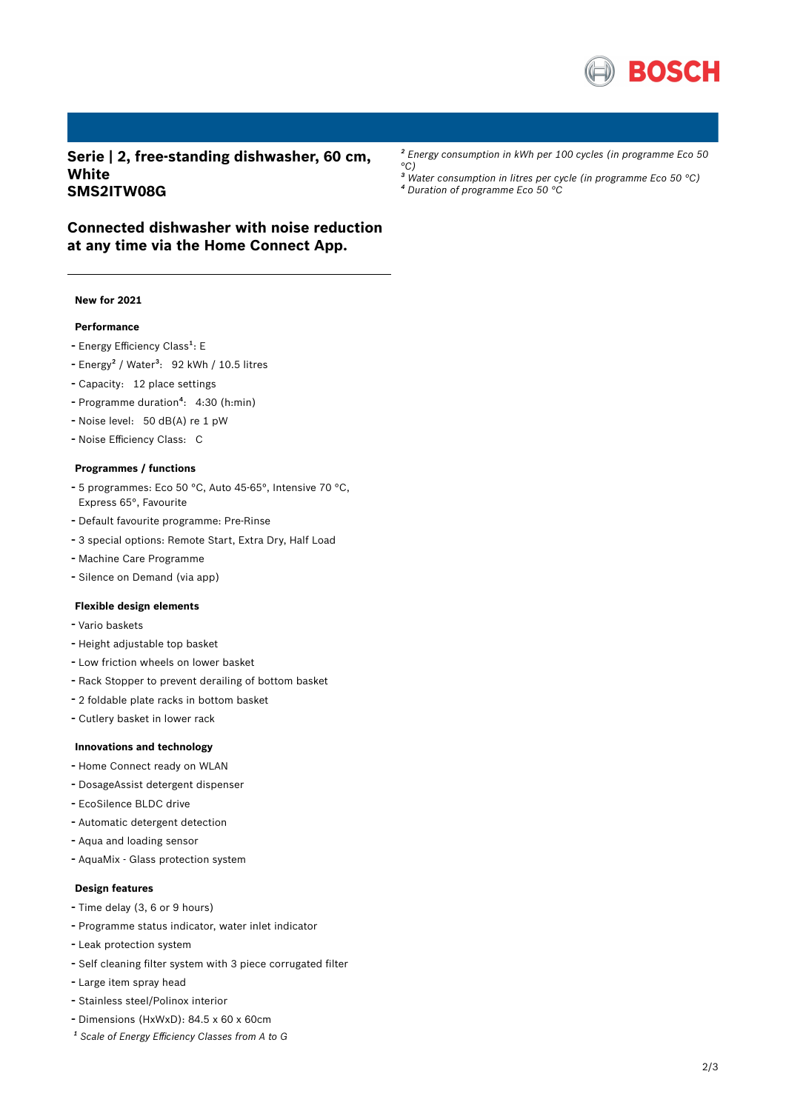

**Serie | 2, free-standing dishwasher, 60 cm, White SMS2ITW08G**

*² Energy consumption in kWh per 100 cycles (in programme Eco 50 °C)*

*³ Water consumption in litres per cycle (in programme Eco 50 °C) ⁴ Duration of programme Eco 50 °C*

# **Connected dishwasher with noise reduction at any time via the Home Connect App.**

### **New for 2021**

## **Performance**

- Energy Efficiency Class<sup>1</sup>: E
- Energy<sup>2</sup> / Water<sup>3</sup>: 92 kWh / 10.5 litres
- Capacity: <sup>12</sup> place settings
- Programme duration<sup>4</sup>: 4:30 (h:min)
- Noise level: <sup>50</sup> dB(A) re <sup>1</sup> pW
- Noise Efficiency Class: <sup>C</sup>

#### **Programmes / functions**

- <sup>5</sup> programmes: Eco <sup>50</sup> °C, Auto 45-65°, Intensive <sup>70</sup> °C, Express 65°, Favourite
- Default favourite programme: Pre-Rinse
- <sup>3</sup> special options: Remote Start, Extra Dry, Half Load
- Machine Care Programme
- Silence on Demand (via app)

#### **Flexible design elements**

- Vario baskets
- Height adjustable top basket
- Low friction wheels on lower basket
- Rack Stopper to prevent derailing of bottom basket
- <sup>2</sup> foldable plate racks in bottom basket
- Cutlery basket in lower rack

#### **Innovations and technology**

- Home Connect ready on WLAN
- DosageAssist detergent dispenser
- EcoSilence BLDC drive
- Automatic detergent detection
- Aqua and loading sensor
- AquaMix Glass protection system

## **Design features**

- Time delay (3, <sup>6</sup> or <sup>9</sup> hours)
- Programme status indicator, water inlet indicator
- Leak protection system
- Self cleaning filter system with <sup>3</sup> piece corrugated filter
- Large item spray head
- Stainless steel/Polinox interior
- Dimensions (HxWxD): 84.5 x 60 x 60cm
- *¹ Scale of Energy Efficiency Classes from A to G*